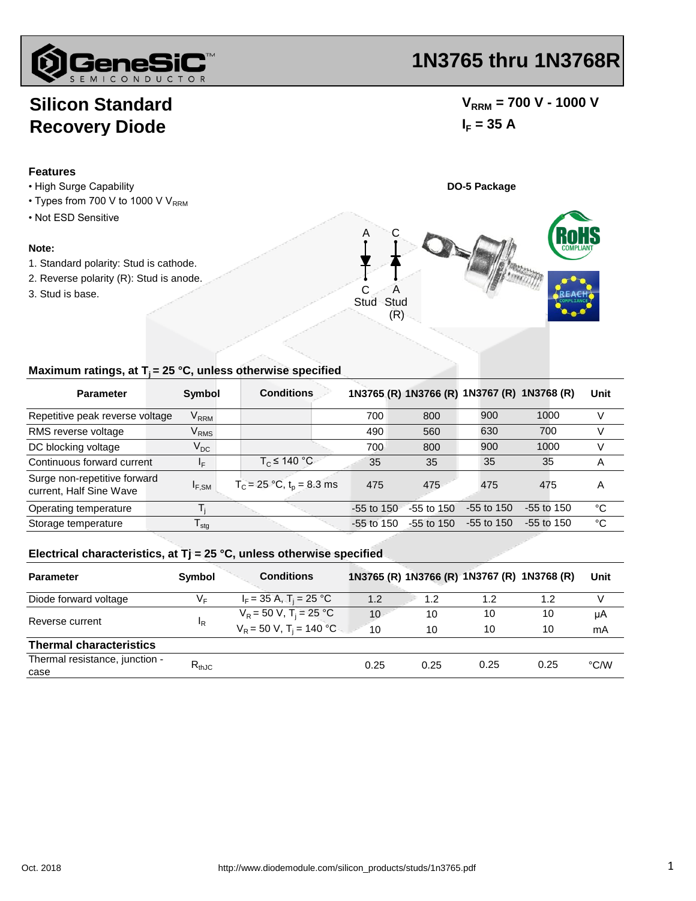

# **Silicon Standard Recovery Diode**

### **Features**

- High Surge Capability **DO-5 Package**
- $\cdot$  Types from 700 V to 1000 V V<sub>RRM</sub>
- Not ESD Sensitive

#### **Note:**

- 1. Standard polarity: Stud is cathode.
- 2. Reverse polarity (R): Stud is anode.
- 3. Stud is base.

## **1N3765 thru 1N3768R**

## $V_{RRM}$  = 700 V - 1000 V  $I_F = 35 A$



### **Maximum ratings, at T<sub>i</sub> = 25 °C, unless otherwise specified**

| <b>Parameter</b>                                        | Symbol                    | <b>Conditions</b>              |              | 1N3765 (R) 1N3766 (R) 1N3767 (R) 1N3768 (R) |              |                | Unit |
|---------------------------------------------------------|---------------------------|--------------------------------|--------------|---------------------------------------------|--------------|----------------|------|
| Repetitive peak reverse voltage                         | $\mathsf{V}_\mathsf{RRM}$ |                                | 700          | 800                                         | 900          | 1000           | V    |
| RMS reverse voltage                                     | $\rm V_{RMS}$             |                                | 490          | 560                                         | 630          | 700            | V    |
| DC blocking voltage                                     | $V_{DC}$                  |                                | 700          | 800                                         | 900          | 1000           | V    |
| Continuous forward current                              | ΙF                        | $T_c \leq 140 °C$              | 35           | 35                                          | 35           | 35             | A    |
| Surge non-repetitive forward<br>current, Half Sine Wave | $I_{F,SM}$                | $T_c = 25 °C$ , $t_p = 8.3$ ms | 475          | 475                                         | 475          | 475            | Α    |
| Operating temperature                                   |                           |                                | $-55$ to 150 | $-55$ to $150$                              | $-55$ to 150 | $-55$ to $150$ | °C   |
| Storage temperature                                     | l sta                     |                                | $-55$ to 150 | $-55$ to 150                                | $-55$ to 150 | $-55$ to 150   | °C   |

#### **Electrical characteristics, at Tj = 25 °C, unless otherwise specified**

| <b>Parameter</b>               | Symbol         | <b>Conditions</b>                       |                 |      |      | 1N3765 (R) 1N3766 (R) 1N3767 (R) 1N3768 (R) | Unit          |
|--------------------------------|----------------|-----------------------------------------|-----------------|------|------|---------------------------------------------|---------------|
| Diode forward voltage          | $V_F$          | $I_F = 35 A$ , $T_i = 25 °C$            | 1.2             | 1.2  | 1.2  | 1.2                                         | v             |
| Reverse current                | <sup>I</sup> R | $V_R$ = 50 V, T <sub>i</sub> = 25 °C    | 10 <sup>1</sup> | 10   | 10   | 10                                          | μA            |
|                                |                | $V_R = 50 V$ , T <sub>i</sub> = 140 °C. | 10              | 10   | 10   | 10                                          | mA            |
| <b>Thermal characteristics</b> |                |                                         |                 |      |      |                                             |               |
| Thermal resistance, junction - | $R_{thJC}$     |                                         | 0.25            | 0.25 | 0.25 | 0.25                                        | $\degree$ C/W |
| case                           |                |                                         |                 |      |      |                                             |               |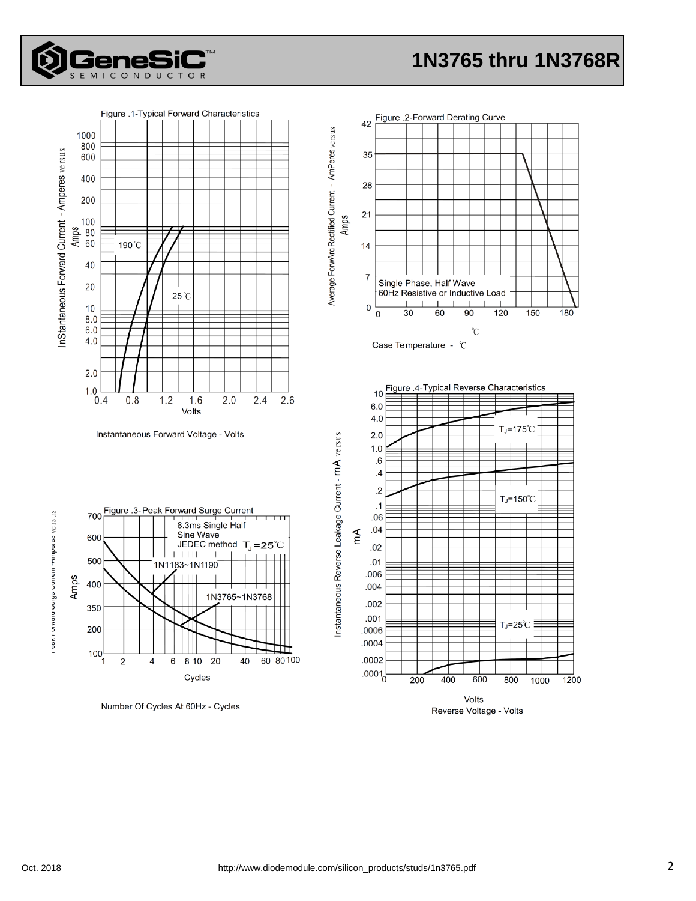



Reverse Voltage - Volts